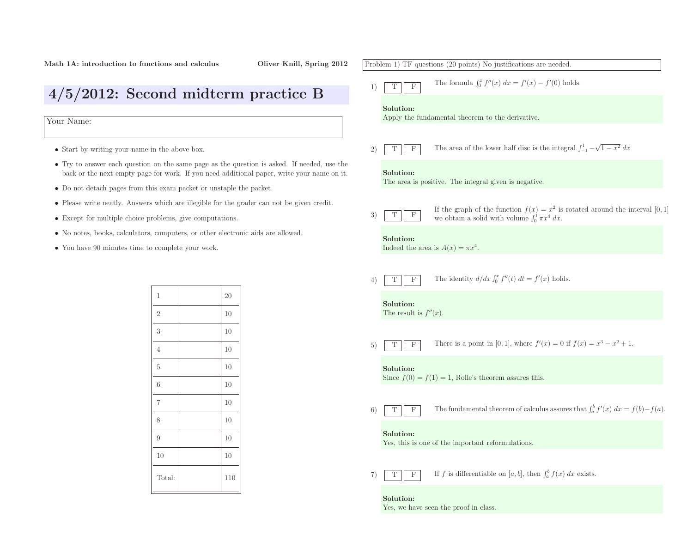• Start by writing your name in the above box.

Your Name:

4/5/2012: Second midterm practice <sup>B</sup>

• Do not detach pages from this exam packet or unstaple the packet.

1

2

3

4

5

6

7

8

9

10

Total:

• Except for multiple choice problems, <sup>g</sup>ive computations.

• You have <sup>90</sup> minutes time to complete your work.

• Try to answer each question on the same page as the question is asked. If needed, use the back or the next empty page for work. If you need additional paper, write your name on it.

• Please write neatly. Answers which are illegible for the grader can not be <sup>g</sup>iven credit.

| 20

2  $\vert$  10

 $\begin{array}{c|c} 3 & 10 \end{array}$ 

4 | 10

 $5 \qquad \qquad$  10

 $6 \qquad \qquad 10$ 

7 | 10

8 | 10

 $9 \t\t 10$ 

 $0 \qquad \qquad \vert \qquad \qquad \vert 10$ 

110

• No notes, books, calculators, computers, or other electronic aids are allowed.

# Problem 1) TF questions (20 points) No justifications are needed. 1)TFThe formula  $\int_0^x f''(x) dx = f'(x) - f'(0)$  holds. Solution: Apply the fundamental theorem to the derivative. 2)TFF The area of the lower half disc is the integral  $\int_{-1}^{1} -\sqrt{1-x^2} dx$ Solution: The area is positive. The integral <sup>g</sup>iven is negative. 3)TFIf the graph of the function  $f(x) = x^2$  is<br>we obtain a solid with volume  $\int_0^1 \pi x^4 dx$ .  $2$  is rotated around the interval  $[0, 1]$ Solution:Indeed the area is  $A(x) = \pi x^4$ . 4)TFF The identity  $d/dx \int_0^x f''(t) dt = f'(x)$  holds. Solution:The result is  $f''(x)$ . 5)TFThere is a point in [0, 1], where  $f'(x) = 0$  if  $f(x) = x^3 - x^2 + 1$ . Solution:Since  $f(0) = f(1) = 1$ , Rolle's theorem assures this. 6)TFThe fundamental theorem of calculus assures that  $\int_a^b f'(x) dx = f(b) - f(a)$ . Solution: Yes, this is one of the important reformulations. 7)TF**F** If f is differentiable on  $[a, b]$ , then  $\int_a^b f(x) dx$  exists.

Solution:Yes, we have seen the proo<sup>f</sup> in class.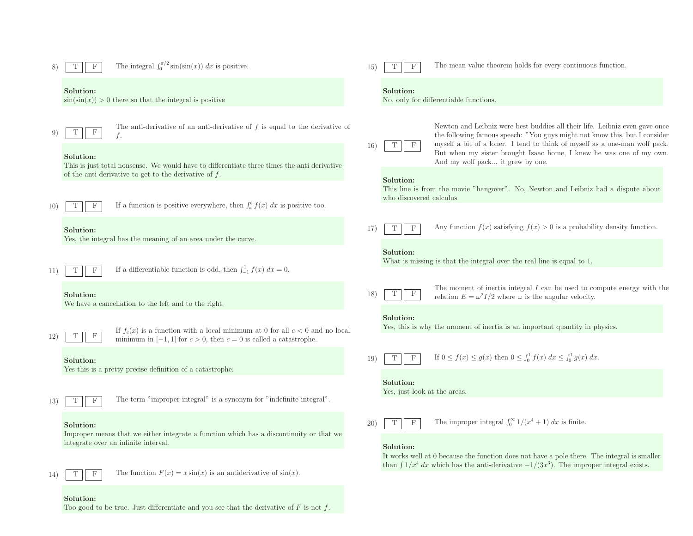

#### Solution:

Too good to be true. Just differentiate and you see that the derivative of  $\mathcal F$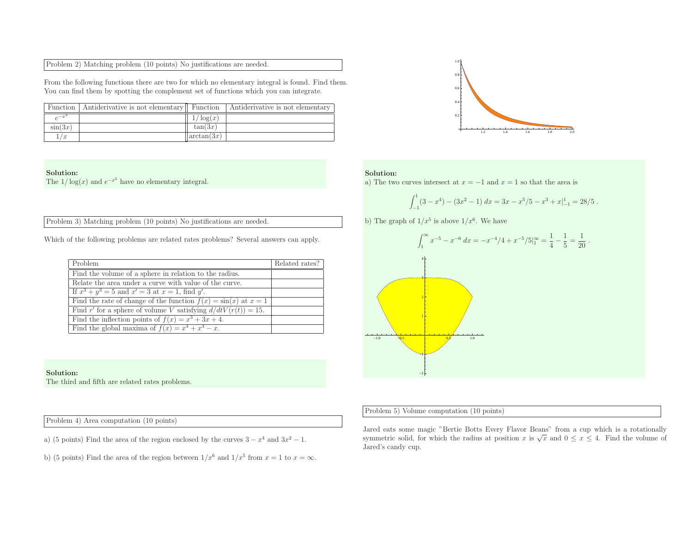| Problem 2) Matching problem (10 points) No justifications are needed. |  |
|-----------------------------------------------------------------------|--|
|-----------------------------------------------------------------------|--|

From the following functions there are two for which no elementary integral is found. Find them. You can find them by spotting the complement set of functions which you can integrate.

|            | Function   Antiderivative is not elementary   Function |            | Antiderivative is not elementary |
|------------|--------------------------------------------------------|------------|----------------------------------|
|            |                                                        | log(x)     |                                  |
| $\sin(3x)$ |                                                        | tan(3x)    |                                  |
| /x         |                                                        | arctan(3x) |                                  |

### Solution:

The  $1/\log(x)$  and  $e^{-x^2}$  have no elementary integral.

Problem 3) Matching problem (10 points) No justifications are needed.

Which of the following problems are related rates problems? Several answers can apply.

| Problem                                                             | Related rates? |
|---------------------------------------------------------------------|----------------|
| Find the volume of a sphere in relation to the radius.              |                |
| Relate the area under a curve with value of the curve.              |                |
| If $x^3 + y^3 = 5$ and $x' = 3$ at $x = 1$ , find y'.               |                |
| Find the rate of change of the function $f(x) = \sin(x)$ at $x = 1$ |                |
| Find r' for a sphere of volume V satisfying $d/dtV(r(t)) = 15$ .    |                |
| Find the inflection points of $f(x) = x^3 + 3x + 4$ .               |                |
| Find the global maxima of $f(x) = x^4 + x^3 - x$ .                  |                |

#### Solution:

The third and fifth are related rates problems.

Problem 4) Area computation (10 points)

a) (5 points) Find the area of the region enclosed by the curves  $3 - x^4$  and  $3x^2 - 1$ .

b) (5 points) Find the area of the region between  $1/x^6$  and  $1/x^5$  from  $x = 1$  to  $x = \infty$ .



### Solution:

a) The two curves intersect at  $x = -1$  and  $x = 1$  so that the area is

$$
\int_{-1}^{1} (3 - x^4) - (3x^2 - 1) \, dx = 3x - x^5/5 - x^3 + x \vert_{-1}^{1} = 28/5 \; .
$$

b) The graph of  $1/x^5$  is above  $1/x^6$ . We have



### Problem 5) Volume computation (10 points)

Jared eats some magic "Bertie Botts Every Flavor Beans" from <sup>a</sup> cup which is <sup>a</sup> rotationallysymmetric solid, for which the radius at position x is  $\sqrt{x}$  and  $0 \le x \le 4$ . Find the volume of Jared's candy cup.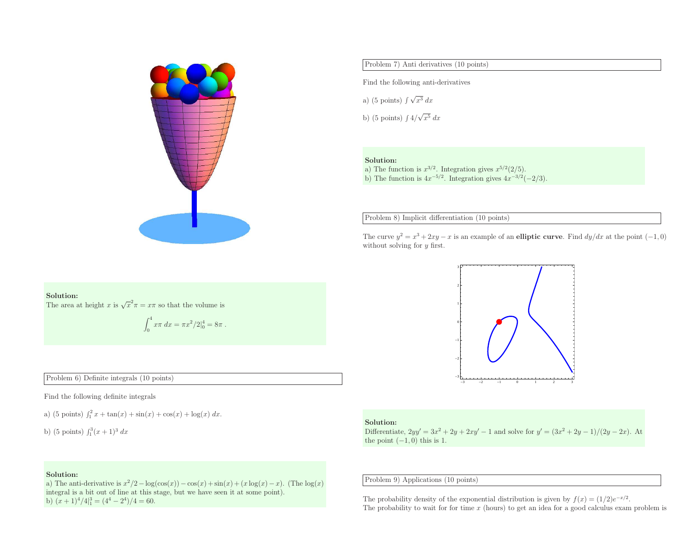

Problem 7) Anti derivatives (10 points)

Find the following anti-derivatives

a) (5 points)  $\int \sqrt{x^3} dx$ 

b) (5 points)  $\int 4/\sqrt{x^5} dx$ 

#### Solution:

a) The function is  $x^{3/2}$ . Integration gives  $x^{5/2}(2/5)$ . b) The function is  $4x^{-5/2}$ . Integration gives  $4x^{-3/2}(-2/3)$ .

Problem 8) Implicit differentiation (10 points)

The curve  $y^2 = x^3 + 2xy - x$  is an example of an **elliptic curve**. Find  $dy/dx$  at the point  $(-1, 0)$ without solving for y first.



#### Solution:

The area at height x is  $\sqrt{x^2}\pi = x\pi$  so that the volume is

$$
\int_0^4 x\pi \, dx = \pi x^2/2\vert_0^4 = 8\pi \; .
$$

Problem 6) Definite integrals (10 points)

Find the following definite integrals

a) (5 points)  $\int_1^2 x + \tan(x) + \sin(x) + \cos(x) + \log(x) dx$ .

b) (5 points)  $\int_1^3 (x+1)^3 dx$ 

### Solution:

Differentiate,  $2yy' = 3x^2 + 2y + 2xy' - 1$  and solve for  $y' = (3x^2 + 2y - 1)/(2y - 2x)$ . At the point  $(-1, 0)$  this is 1.

Problem 9) Applications (10 points)

The probability density of the exponential distribution is given by  $f(x) = (1/2)e^{-x/2}$ . The probability density of the exponential distribution is given by  $f(x) = (1/2)e^{-x/2}$ .<br>The probability to wait for for time x (hours) to get an idea for a good calculus exam problem is

## Solution:

a) The anti-derivative is  $x^2/2 - \log(\cos(x)) - \cos(x) + \sin(x) + (x \log(x) - x)$ . (The  $\log(x)$ ) integral is <sup>a</sup> bit out of line at this stage, but we have seen it at some point). b)  $(x+1)^4/4\vert_1^3 = (4^4 - 2^4)/4 = 60.$